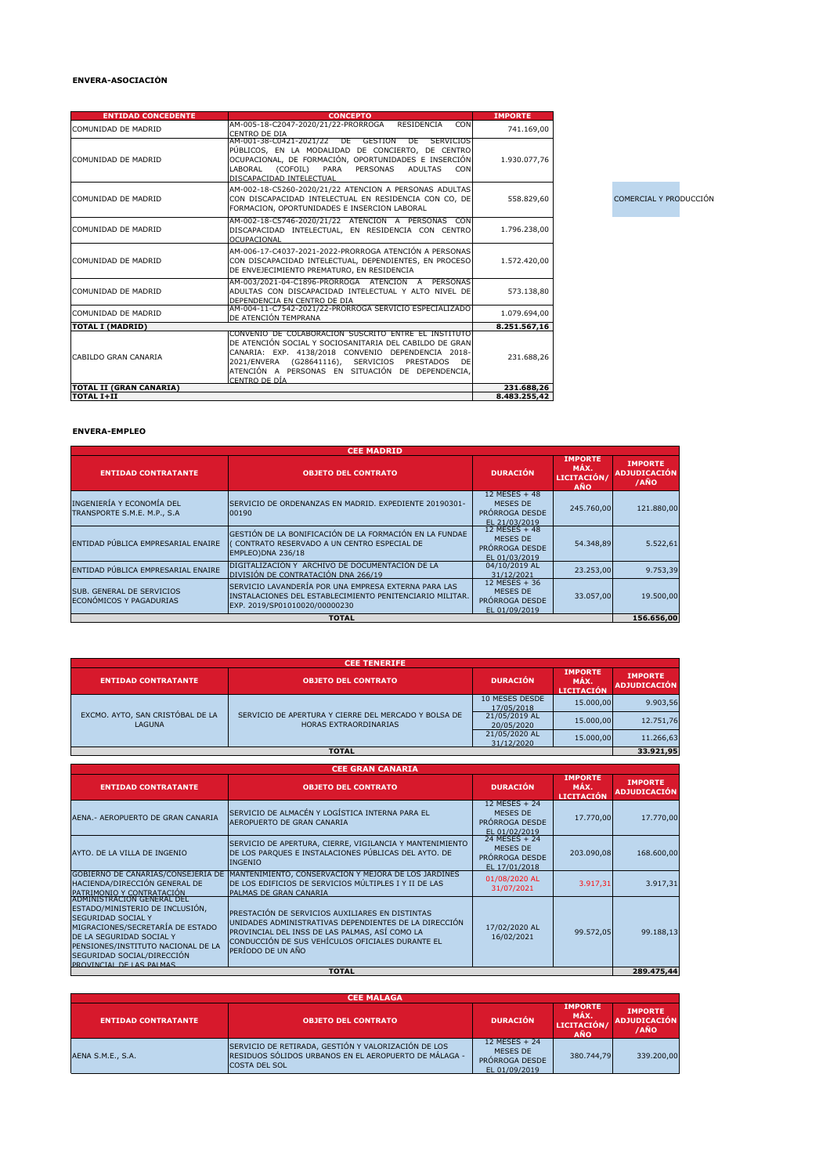## **ENVERA-ASOCIACIÓN**

| <b>ENTIDAD CONCEDENTE</b>      | <b>CONCEPTO</b>                                                                                                                                                                                                                                                                                  | <b>IMPORTE</b> |
|--------------------------------|--------------------------------------------------------------------------------------------------------------------------------------------------------------------------------------------------------------------------------------------------------------------------------------------------|----------------|
| COMUNIDAD DE MADRID            | AM-005-18-C2047-2020/21/22-PRORROGA<br><b>RESIDENCIA</b><br><b>CON</b><br><b>CENTRO DE DIA</b>                                                                                                                                                                                                   | 741.169,00     |
| COMUNIDAD DE MADRID            | AM-001-38-C0421-2021/22 DE GESTION<br><b>SERVICIOS</b><br>DE<br>PÚBLICOS, EN LA MODALIDAD DE CONCIERTO, DE CENTRO<br>OCUPACIONAL, DE FORMACIÓN, OPORTUNIDADES E INSERCIÓN<br>(COFOIL)<br>LABORAL<br>PARA<br>PERSONAS<br><b>ADULTAS</b><br><b>CON</b><br>DISCAPACIDAD INTELECTUAL                 | 1.930.077,76   |
| <b>COMUNIDAD DE MADRID</b>     | AM-002-18-C5260-2020/21/22 ATENCION A PERSONAS ADULTAS<br>CON DISCAPACIDAD INTELECTUAL EN RESIDENCIA CON CO, DE<br>FORMACION, OPORTUNIDADES E INSERCION LABORAL                                                                                                                                  | 558.829,60     |
| COMUNIDAD DE MADRID            | AM-002-18-C5746-2020/21/22 ATENCION A PERSONAS CON<br>DISCAPACIDAD INTELECTUAL, EN RESIDENCIA CON CENTRO<br><b>OCUPACIONAL</b>                                                                                                                                                                   | 1.796.238,00   |
| <b>COMUNIDAD DE MADRID</b>     | AM-006-17-C4037-2021-2022-PRORROGA ATENCIÓN A PERSONAS<br>CON DISCAPACIDAD INTELECTUAL, DEPENDIENTES, EN PROCESO<br>DE ENVEJECIMIENTO PREMATURO, EN RESIDENCIA                                                                                                                                   | 1.572.420,00   |
| <b>COMUNIDAD DE MADRID</b>     | AM-003/2021-04-C1896-PRÓRROGA ATENCION A PERSONAS<br>ADULTAS CON DISCAPACIDAD INTELECTUAL Y ALTO NIVEL DE<br>DEPENDENCIA EN CENTRO DE DIA                                                                                                                                                        | 573.138,80     |
| <b>COMUNIDAD DE MADRID</b>     | AM-004-11-C7542-2021/22-PRORROGA SERVICIO ESPECIALIZADO<br>DE ATENCIÓN TEMPRANA                                                                                                                                                                                                                  | 1.079.694,00   |
| <b>TOTAL I (MADRID)</b>        |                                                                                                                                                                                                                                                                                                  | 8.251.567,16   |
| CABILDO GRAN CANARIA           | CONVENIO DE COLABORACION SUSCRITO ENTRE EL INSTITUTO<br>DE ATENCIÓN SOCIAL Y SOCIOSANITARIA DEL CABILDO DE GRAN<br>CANARIA: EXP. 4138/2018 CONVENIO DEPENDENCIA 2018-<br>2021/ENVERA (G28641116), SERVICIOS PRESTADOS<br>DE<br>ATENCIÓN A PERSONAS EN SITUACIÓN DE DEPENDENCIA,<br>CENTRO DE DÍA | 231.688,26     |
| <b>TOTAL II (GRAN CANARIA)</b> |                                                                                                                                                                                                                                                                                                  | 231.688,26     |
| <b>TOTAL I+II</b>              |                                                                                                                                                                                                                                                                                                  | 8.483.255,42   |

**COMERCIAL Y PRODUCCIÓN** 

## **ENVERA-EMPLEO**

|                                                             | <b>CEE MADRID</b>                                                                                                                                 |                                                              |                                                     |                                               |
|-------------------------------------------------------------|---------------------------------------------------------------------------------------------------------------------------------------------------|--------------------------------------------------------------|-----------------------------------------------------|-----------------------------------------------|
| <b>ENTIDAD CONTRATANTE</b>                                  | <b>OBJETO DEL CONTRATO</b>                                                                                                                        | <b>DURACIÓN</b>                                              | <b>IMPORTE</b><br>MÁX.<br>LICITACIÓN/<br><b>AÑO</b> | <b>IMPORTE</b><br><b>ADJUDICACIÓN</b><br>/AÑO |
| INGENIERÍA Y ECONOMÍA DEL<br>TRANSPORTE S.M.E. M.P., S.A    | SERVICIO DE ORDENANZAS EN MADRID. EXPEDIENTE 20190301-<br>100190                                                                                  | 12 MESES + 48<br>MESES DE<br>PRÓRROGA DESDE<br>EL 21/03/2019 | 245.760,00                                          | 121.880,00                                    |
| ENTIDAD PÚBLICA EMPRESARIAL ENAIRE                          | GESTIÓN DE LA BONIFICACIÓN DE LA FORMACIÓN EN LA FUNDAE<br>CONTRATO RESERVADO A UN CENTRO ESPECIAL DE<br>EMPLEO)DNA 236/18                        | 12 MESES + 48<br>MESES DE<br>PRÓRROGA DESDE<br>EL 01/03/2019 | 54.348,89                                           | 5.522,61                                      |
| ENTIDAD PÚBLICA EMPRESARIAL ENAIRE                          | DIGITALIZACIÓN Y ARCHIVO DE DOCUMENTACIÓN DE LA<br>DIVISIÓN DE CONTRATACIÓN DNA 266/19                                                            | 04/10/2019 AL<br>31/12/2021                                  | 23.253,00                                           | 9.753,39                                      |
| <b>SUB. GENERAL DE SERVICIOS</b><br>ECONÓMICOS Y PAGADURIAS | SERVICIO LAVANDERÍA POR UNA EMPRESA EXTERNA PARA LAS<br>INSTALACIONES DEL ESTABLECIMIENTO PENITENCIARIO MILITAR.<br>EXP. 2019/SP01010020/00000230 | 12 MESES + 36<br>MESES DE<br>PRÓRROGA DESDE<br>EL 01/09/2019 | 33.057,00                                           | 19.500,00                                     |
|                                                             | <b>TOTAL</b>                                                                                                                                      |                                                              |                                                     | 156.656,00                                    |

| <b>CEE TENERIFE</b>                               |                                                                               |                              |                                             |                                       |
|---------------------------------------------------|-------------------------------------------------------------------------------|------------------------------|---------------------------------------------|---------------------------------------|
| <b>ENTIDAD CONTRATANTE</b>                        | <b>OBJETO DEL CONTRATO</b>                                                    | <b>DURACIÓN</b>              | <b>IMPORTE</b><br>MÁX.<br><b>LICITACIÓN</b> | <b>IMPORTE</b><br><b>ADJUDICACIÓN</b> |
| EXCMO. AYTO, SAN CRISTÓBAL DE LA<br><b>LAGUNA</b> | SERVICIO DE APERTURA Y CIERRE DEL MERCADO Y BOLSA DE<br>HORAS EXTRAORDINARIAS | 10 MESES DESDE<br>17/05/2018 | 15.000,00                                   | 9.903,56                              |
|                                                   |                                                                               | 21/05/2019 AL<br>20/05/2020  | 15.000,00                                   | 12.751,76                             |
|                                                   |                                                                               | 21/05/2020 AL<br>31/12/2020  | 15.000,00                                   | 11.266,63                             |
| <b>TOTAL</b>                                      |                                                                               |                              | 33.921,95                                   |                                       |

|                                                                                                                                                                                                                              | <b>CEE GRAN CANARIA</b>                                                                                                                                                                                                             |                                                              |                                      |                                       |
|------------------------------------------------------------------------------------------------------------------------------------------------------------------------------------------------------------------------------|-------------------------------------------------------------------------------------------------------------------------------------------------------------------------------------------------------------------------------------|--------------------------------------------------------------|--------------------------------------|---------------------------------------|
| <b>ENTIDAD CONTRATANTE</b>                                                                                                                                                                                                   | <b>OBJETO DEL CONTRATO</b>                                                                                                                                                                                                          | <b>DURACIÓN</b>                                              | <b>IMPORTE</b><br>MÁX.<br>LICITACIÓN | <b>IMPORTE</b><br><b>ADJUDICACIÓN</b> |
| AENA.- AEROPUERTO DE GRAN CANARIA                                                                                                                                                                                            | SERVICIO DE ALMACÉN Y LOGÍSTICA INTERNA PARA EL<br>AEROPUERTO DE GRAN CANARIA                                                                                                                                                       | 12 MESES + 24<br>MESES DE<br>PRÓRROGA DESDE<br>EL 01/02/2019 | 17.770,00                            | 17.770,00                             |
| AYTO. DE LA VILLA DE INGENIO                                                                                                                                                                                                 | SERVICIO DE APERTURA, CIERRE, VIGILANCIA Y MANTENIMIENTO<br>DE LOS PARQUES E INSTALACIONES PÚBLICAS DEL AYTO. DE<br><b>INGENIO</b>                                                                                                  | 24 MESES + 24<br>MESES DE<br>PRÓRROGA DESDE<br>EL 17/01/2018 | 203.090,08                           | 168.600,00                            |
| GOBIERNO DE CANARIAS/CONSEJERÍA DE<br>HACIENDA/DIRECCIÓN GENERAL DE<br>PATRIMONIO Y CONTRATACIÓN<br>ADMINISTRACIÓN GENERAL DEL                                                                                               | MANTENIMIENTO, CONSERVACIÓN Y MEJORA DE LOS JARDINES<br>DE LOS EDIFICIOS DE SERVICIOS MÚLTIPLES I Y II DE LAS<br>PALMAS DE GRAN CANARIA                                                                                             | 01/08/2020 AL<br>31/07/2021                                  | 3.917,31                             | 3.917,31                              |
| ESTADO/MINISTERIO DE INCLUSIÓN,<br><b>SEGURIDAD SOCIAL Y</b><br>MIGRACIONES/SECRETARÍA DE ESTADO<br>DE LA SEGURIDAD SOCIAL Y<br>PENSIONES/INSTITUTO NACIONAL DE LA<br>SEGURIDAD SOCIAL/DIRECCIÓN<br>PROVINCIAL DE LAS PALMAS | PRESTACIÓN DE SERVICIOS AUXILIARES EN DISTINTAS<br>UNIDADES ADMINISTRATIVAS DEPENDIENTES DE LA DIRECCIÓN<br>PROVINCIAL DEL INSS DE LAS PALMAS, ASÍ COMO LA<br>CONDUCCIÓN DE SUS VEHÍCULOS OFICIALES DURANTE EL<br>PERÍODO DE UN AÑO | 17/02/2020 AL<br>16/02/2021                                  | 99.572,05                            | 99.188,13                             |
|                                                                                                                                                                                                                              | <b>TOTAL</b>                                                                                                                                                                                                                        |                                                              |                                      | 289.475,44                            |

|                            | <b>CEE MÁLAGA</b>                                                                                                                    |                                                                     |                                                     |                                               |
|----------------------------|--------------------------------------------------------------------------------------------------------------------------------------|---------------------------------------------------------------------|-----------------------------------------------------|-----------------------------------------------|
| <b>ENTIDAD CONTRATANTE</b> | <b>OBJETO DEL CONTRATO</b>                                                                                                           | <b>DURACIÓN</b>                                                     | <b>IMPORTE</b><br>MÁX.<br>LICITACIÓN/<br><b>AÑO</b> | <b>IMPORTE</b><br><b>ADJUDICACIÓN</b><br>/AÑO |
| AENA S.M.E., S.A.          | SERVICIO DE RETIRADA, GESTIÓN Y VALORIZACIÓN DE LOS<br>RESIDUOS SÓLIDOS URBANOS EN EL AEROPUERTO DE MÁLAGA -<br><b>COSTA DEL SOL</b> | 12 MESES + 24<br>MESES DE<br><b>PRORROGA DESDE</b><br>EL 01/09/2019 | 380.744,79                                          | 339.200,00                                    |